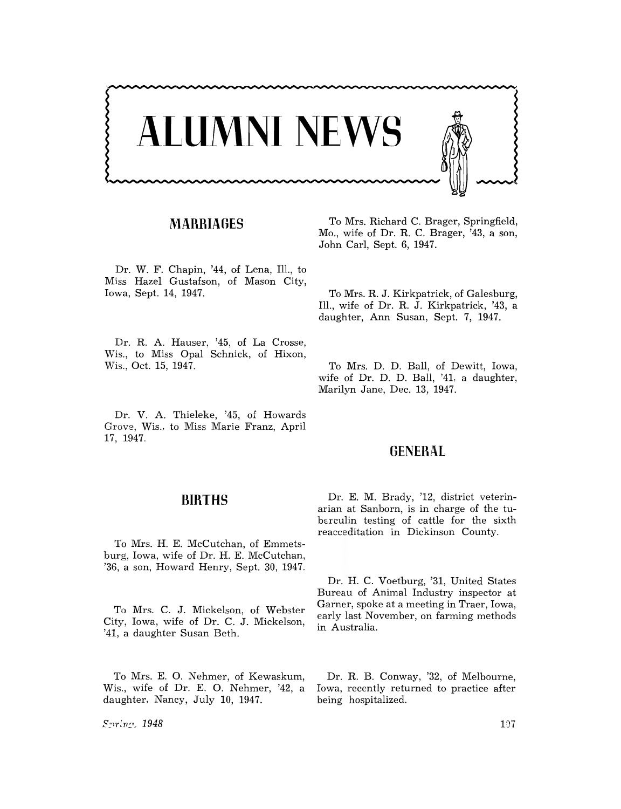

## **MARRIAGES**

Dr. W. F. Chapin, '44, of Lena, Ill., to Miss Hazel Gustafson, of Mason City, Iowa, Sept. 14, 1947.

Dr. R. A. Hauser, '45, of La Crosse, Wis., to Miss Opal Schnick, of Hixon, Wis., Oct. 15, 1947.

Dr. V. A. Thieleke, '45, of Howards Grove, Wis., to Miss Marie Franz, April 17, 1947.

#### **BIRTHS**

To Mrs. H. E. McCutchan, of Emmetsburg, Iowa, wife of Dr. H. E. McCutchan, '36, a son, Howard Henry, Sept. 30, 1947.

To Mrs. C. J. Mickelson, of Webster City, Iowa, wife of Dr. C. J. Mickelson, '41, a daughter Susan Beth.

To Mrs. E. O. Nehmer, of Kewaskum, Wis., wife of Dr. E. O. Nehmer, '42, a daughter. Nancy, July 10, 1947.

 $S_1$ ring, 1948

To Mrs. Richard C. Brager, Springfield, Mo., wife of Dr. R. C. Brager, '43, a son, John Carl, Sept. 6, 1947.

To Mrs. R. J. Kirkpatrick, of Galesburg, Ill., wife of Dr. R. J. Kirkpatrick, '43, a daughter, Ann Susan, Sept. 7, 1947.

To Mrs. D. D. Ball, of Dewitt, Iowa, wife of Dr. D. D. Ball, '41, a daughter, Marilyn Jane, Dec. 13, 1947.

#### **GENERAL**

Dr. E. M. Brady, '12, district veterinarian at Sanborn, is in charge of the tuberculin testing of cattle for the sixth reacceditation in Dickinson County.

Dr. H. C. Voetburg, '31, United States Bureau of Animal Industry inspector at Garner, spoke at a meeting in Traer, Iowa, early last November, on farming methods in Australia.

Dr. R. B. Conway, '32, of Melbourne, Iowa, recently returned to practice after being hospitalized.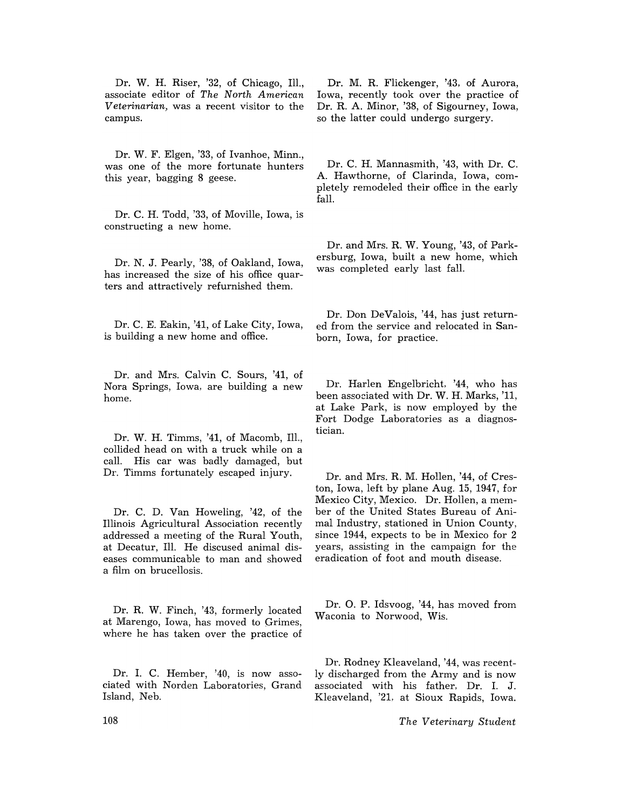Dr. W. H. Riser, '32, of Chicago, Ill., associate editor of *The North American Veterinarian,* was a recent visitor to the campus.

Dr. W. F. Elgen, '33, of Ivanhoe, Minn., was one of the more fortunate hunters this year, bagging 8 geese.

Dr. C. H. Todd, '33, of Moville, Iowa, is constructing a new home.

Dr. N. J. Pearly, '38, of Oakland, Iowa, has increased the size of his office quarters and attractively refurnished them.

Dr. C. E. Eakin, '41, of Lake City, Iowa, is building a new home and office.

Dr. and Mrs. Calvin C. Sours, '41, of Nora Springs, Iowa, are building a new home.

Dr. W. H. Timms, '41, of Macomb, Ill., collided head on with a truck while on a call. His car was badly damaged, but Dr. Timms fortunately escaped injury.

Dr. C. D. Van Howeling, '42, of the Illinois Agricultural Association recently addressed a meeting of the Rural Youth, at Decatur, Ill. He discused animal diseases communicable to man and showed a film on brucellosis.

Dr. R. W. Finch, '43, formerly located at Marengo, Iowa, has moved to Grimes, where he has taken over the practice of

Dr. I. C. Hember, '40, is now associated with Norden Laboratories, Grand Island, Neb.

Dr. M. R. Flickenger, '43, of Aurora, Iowa, recently took over the practice of Dr. R. A. Minor, '38, of Sigourney, Iowa, so the latter could undergo surgery.

Dr. C. H. Mannasmith, '43, with Dr. C. A. Hawthorne, of Clarinda, Iowa, completely remodeled their office in the early fall.

Dr. and Mrs. R. W. Young, '43, of Parkersburg, Iowa, built a new home, which was completed early last fall.

Dr. Don DeValois, '44, has just returned from the service and relocated in Sanborn, Iowa, for practice.

Dr. Harlen Engelbricht, '44, who has been associated with Dr. W. H. Marks, '11, at Lake Park, is now employed by the Fort Dodge Laboratories as a diagnostician.

Dr. and Mrs. R. M. Hollen, '44, of Creston, Iowa, left by plane Aug. 15, 1947, for Mexico City, Mexico. Dr. Hollen, a member of the United States Bureau of Animal Industry, stationed in Union County, since 1944, expects to be in Mexico for 2 years, assisting in the campaign for the eradication of foot and mouth disease.

Dr. O. P. Idsvoog, '44, has moved from Waconia to Norwood, Wis.

Dr. Rodney Kleaveland, '44, was recently discharged from the Army and is now associated with his father. Dr. 1. J. Kleaveland, '21, at Sioux Rapids, Iowa.

*The Veterinary Student*